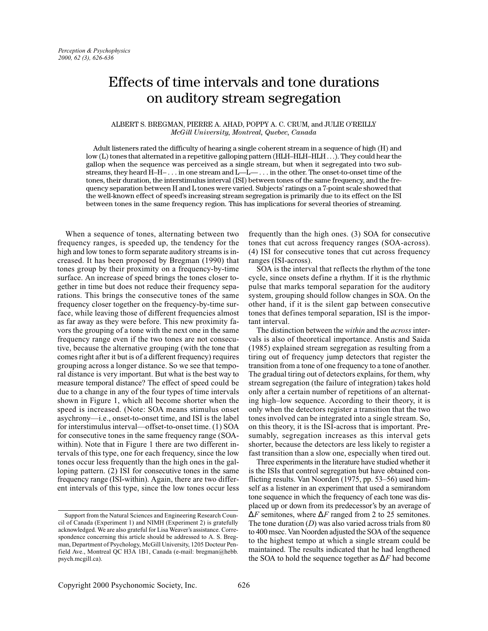# Effects of time intervals and tone durations on auditory stream segregation

# ALBERT S. BREGMAN, PIERRE A. AHAD, POPPY A. C. CRUM, and JULIE O'REILLY *McGill University, Montreal, Quebec, Canada*

Adult listeners rated the difficulty of hearing a single coherent stream in a sequence of high (H) and low (L) tones that alternated in a repetitive galloping pattern (HLH–HLH–HLH . . .). They could hear the gallop when the sequence was perceived as a single stream, but when it segregated into two substreams, they heard H–H– . . . in one stream and L—L— . . . in the other. The onset-to-onset time of the tones, their duration, the interstimulus interval (ISI) between tones of the same frequency, and the frequency separation between H and L tones were varied. Subjects' ratings on a 7-point scale showed that the well-known effect of speed's increasing stream segregation is primarily due to its effect on the ISI between tones in the same frequency region. This has implications for several theories of streaming.

When a sequence of tones, alternating between two frequency ranges, is speeded up, the tendency for the high and low tones to form separate auditory streams is increased. It has been proposed by Bregman (1990) that tones group by their proximity on a frequency-by-time surface. An increase of speed brings the tones closer together in time but does not reduce their frequency separations. This brings the consecutive tones of the same frequency closer together on the frequency-by-time surface, while leaving those of different frequencies almost as far away as they were before. This new proximity favors the grouping of a tone with the next one in the same frequency range even if the two tones are not consecutive, because the alternative grouping (with the tone that comes right after it but is of a different frequency) requires grouping across a longer distance. So we see that temporal distance is very important. But what is the best way to measure temporal distance? The effect of speed could be due to a change in any of the four types of time intervals shown in Figure 1, which all become shorter when the speed is increased. (Note: SOA means stimulus onset asychrony—i.e., onset-to-onset time, and ISI is the label for interstimulus interval—offset-to-onset time. (1) SOA for consecutive tones in the same frequency range (SOAwithin). Note that in Figure 1 there are two different intervals of this type, one for each frequency, since the low tones occur less frequently than the high ones in the galloping pattern. (2) ISI for consecutive tones in the same frequency range (ISI-within). Again, there are two different intervals of this type, since the low tones occur less

frequently than the high ones. (3) SOA for consecutive tones that cut across frequency ranges (SOA-across). (4) ISI for consecutive tones that cut across frequency ranges (ISI-across).

SOA is the interval that reflects the rhythm of the tone cycle, since onsets define a rhythm. If it is the rhythmic pulse that marks temporal separation for the auditory system, grouping should follow changes in SOA. On the other hand, if it is the silent gap between consecutive tones that defines temporal separation, ISI is the important interval.

The distinction between the *within* and the *across* intervals is also of theoretical importance. Anstis and Saida (1985) explained stream segregation as resulting from a tiring out of frequency jump detectors that register the transition from a tone of one frequency to a tone of another. The gradual tiring out of detectors explains, for them, why stream segregation (the failure of integration) takes hold only after a certain number of repetitions of an alternating high–low sequence. According to their theory, it is only when the detectors register a transition that the two tones involved can be integrated into a single stream. So, on this theory, it is the ISI-across that is important. Presumably, segregation increases as this interval gets shorter, because the detectors are less likely to register a fast transition than a slow one, especially when tired out.

Three experiments in the literature have studied whether it is the ISIs that control segregation but have obtained conflicting results. Van Noorden (1975, pp. 53–56) used himself as a listener in an experiment that used a semirandom tone sequence in which the frequency of each tone was displaced up or down from its predecessor's by an average of ∆*F* semitones, where ∆*F* ranged from 2 to 25 semitones. The tone duration (*D*) was also varied across trials from 80 to 400 msec. Van Noorden adjusted the SOA of the sequence to the highest tempo at which a single stream could be maintained. The results indicated that he had lengthened the SOA to hold the sequence together as ∆*F* had become

Support from the Natural Sciences and Engineering Research Council of Canada (Experiment 1) and NIMH (Experiment 2) is gratefully acknowledged. We are also grateful for Lisa Weaver's assistance. Correspondence concerning this article should be addressed to A. S. Bregman, Department of Psychology, McGill University, 1205 Docteur Penfield Ave., Montreal QC H3A 1B1, Canada (e-mail: bregman@hebb. psych.mcgill.ca).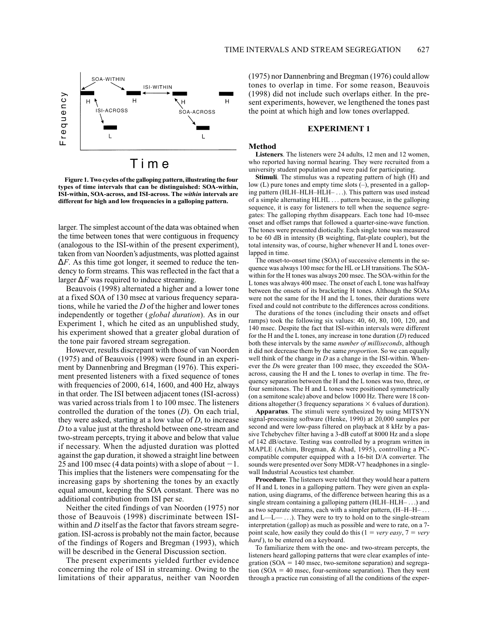

**Figure 1. Two cycles of the galloping pattern, illustrating the four types of time intervals that can be distinguished: SOA-within, ISI-within, SOA-across, and ISI-across. The** *within* **intervals are different for high and low frequencies in a galloping pattern.**

larger. The simplest account of the data was obtained when the time between tones that were contiguous in frequency (analogous to the ISI-within of the present experiment), taken from van Noorden's adjustments, was plotted against  $\Delta F$ . As this time got longer, it seemed to reduce the tendency to form streams. This was reflected in the fact that a larger  $\Delta F$  was required to induce streaming.

Beauvois (1998) alternated a higher and a lower tone at a fixed SOA of 130 msec at various frequency separations, while he varied the *D* of the higher and lower tones independently or together (*global duration*). As in our Experiment 1, which he cited as an unpublished study, his experiment showed that a greater global duration of the tone pair favored stream segregation.

However, results discrepant with those of van Noorden (1975) and of Beauvois (1998) were found in an experiment by Dannenbring and Bregman (1976). This experiment presented listeners with a fixed sequence of tones with frequencies of 2000, 614, 1600, and 400 Hz, always in that order. The ISI between adjacent tones (ISI-across) was varied across trials from 1 to 100 msec. The listeners controlled the duration of the tones (*D*). On each trial, they were asked, starting at a low value of *D*, to increase *D* to a value just at the threshold between one-stream and two-stream percepts, trying it above and below that value if necessary. When the adjusted duration was plotted against the gap duration, it showed a straight line between 25 and 100 msec (4 data points) with a slope of about  $-1$ . This implies that the listeners were compensating for the increasing gaps by shortening the tones by an exactly equal amount, keeping the SOA constant. There was no additional contribution from ISI per se.

Neither the cited findings of van Noorden (1975) nor those of Beauvois (1998) discriminate between ISIwithin and *D* itself as the factor that favors stream segregation. ISI-across is probably not the main factor, because of the findings of Rogers and Bregman (1993), which will be described in the General Discussion section.

The present experiments yielded further evidence concerning the role of ISI in streaming. Owing to the limitations of their apparatus, neither van Noorden (1975) nor Dannenbring and Bregman (1976) could allow tones to overlap in time. For some reason, Beauvois (1998) did not include such overlaps either. In the present experiments, however, we lengthened the tones past the point at which high and low tones overlapped.

## **EXPERIMENT 1**

#### **Method**

**Listeners**. The listeners were 24 adults, 12 men and 12 women, who reported having normal hearing. They were recruited from a university student population and were paid for participating.

**Stimuli**. The stimulus was a repeating pattern of high (H) and low (L) pure tones and empty time slots (–), presented in a galloping pattern (HLH–HLH–HLH– . . .). This pattern was used instead of a simple alternating HLHL . . . pattern because, in the galloping sequence, it is easy for listeners to tell when the sequence segregates: The galloping rhythm disappears. Each tone had 10-msec onset and offset ramps that followed a quarter-sine-wave function. The tones were presented diotically. Each single tone was measured to be 60 dB in intensity (B weighting, flat-plate coupler), but the total intensity was, of course, higher whenever H and L tones overlapped in time.

The onset-to-onset time (SOA) of successive elements in the sequence was always 100 msec for the HL or LH transitions. The SOAwithin for the H tones was always 200 msec. The SOA-within for the L tones was always 400 msec. The onset of each L tone was halfway between the onsets of its bracketing H tones. Although the SOAs were not the same for the H and the L tones, their durations were fixed and could not contribute to the differences across conditions.

The durations of the tones (including their onsets and offset ramps) took the following six values: 40, 60, 80, 100, 120, and 140 msec. Despite the fact that ISI-within intervals were different for the H and the L tones, any increase in tone duration (*D*) reduced both these intervals by the same *number of milliseconds*, although it did not decrease them by the same *proportion*. So we can equally well think of the change in *D* as a change in the ISI-within. Whenever the *D*s were greater than 100 msec, they exceeded the SOAacross, causing the H and the L tones to overlap in time. The frequency separation between the H and the L tones was two, three, or four semitones. The H and L tones were positioned symmetrically (on a semitone scale) above and below 1000 Hz. There were 18 conditions altogether (3 frequency separations  $\times$  6 values of duration).

**Apparatus**. The stimuli were synthesized by using MITSYN signal-processing software (Henke, 1990) at 20,000 samples per second and were low-pass filtered on playback at 8 kHz by a passive Tchebychev filter having a 3-dB cutoff at 8000 Hz and a slope of 142 dB/octave. Testing was controlled by a program written in MAPLE (Achim, Bregman, & Ahad, 1995), controlling a PCcompatible computer equipped with a 16-bit D/A converter. The sounds were presented over Sony MDR-V7 headphones in a singlewall Industrial Acoustics test chamber.

**Procedure**. The listeners were told that they would hear a pattern of H and L tones in a galloping pattern. They were given an explanation, using diagrams, of the difference between hearing this as a single stream containing a galloping pattern  $(HLH-HLH- ...)$  and as two separate streams, each with a simpler pattern,  $(H-H-H-...$ and L—L— . . .). They were to try to hold on to the single-stream interpretation (gallop) as much as possible and were to rate, on a 7 point scale, how easily they could do this  $(1 = \text{very easy}, 7 = \text{very})$ *hard*), to be entered on a keyboard.

To familiarize them with the one- and two-stream percepts, the listeners heard galloping patterns that were clear examples of integration ( $SOA = 140$  msec, two-semitone separation) and segregation ( $SOA = 40$  msec, four-semitone separation). Then they went through a practice run consisting of all the conditions of the exper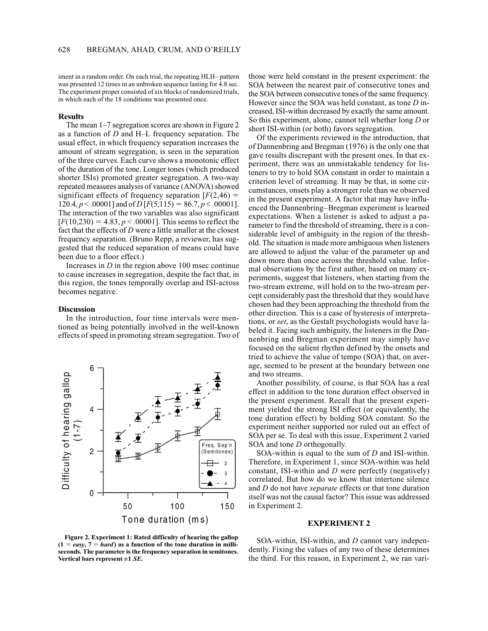iment in a random order. On each trial, the repeating HLH– pattern was presented 12 times in an unbroken sequence lasting for 4.8 sec. The experiment proper consisted of six blocks of randomized trials, in which each of the 18 conditions was presented once.

## **Results**

The mean 1–7 segregation scores are shown in Figure 2 as a function of *D* and H–L frequency separation. The usual effect, in which frequency separation increases the amount of stream segregation, is seen in the separation of the three curves. Each curve shows a monotonic effect of the duration of the tone. Longer tones (which produced shorter ISIs) promoted greater segregation. A two-way repeated measures analysis of variance (ANOVA) showed significant effects of frequency separation  $[F(2,46) =$  $120.4, p < .00001$  and of *D* [*F*(5,115) = 86.7, *p* < .00001]. The interaction of the two variables was also significant  $[F(10,230) = 4.83, p < .00001]$ . This seems to reflect the fact that the effects of *D* were a little smaller at the closest frequency separation. (Bruno Repp, a reviewer, has suggested that the reduced separation of means could have been due to a floor effect.)

Increases in  $D$  in the region above 100 msec continue to cause increases in segregation, despite the fact that, in this region, the tones temporally overlap and ISI-across becomes negative.

## **Discussion**

In the introduction, four time intervals were mentioned as being potentially involved in the well-known effects of speed in promoting stream segregation. Two of



**Figure 2. Experiment 1: Rated difficulty of hearing the gallop**  $(1 = easy, 7 = hard)$  as a function of the tone duration in milli**seconds. The parameter is the frequency separation in semitones. Vertical bars represent ±1** *SE***.**

those were held constant in the present experiment: the SOA between the nearest pair of consecutive tones and the SOA between consecutive tones of the same frequency. However since the SOA was held constant, as tone *D* increased, ISI-within decreased by exactly the same amount. So this experiment, alone, cannot tell whether long *D* or short ISI-within (or both) favors segregation.

Of the experiments reviewed in the introduction, that of Dannenbring and Bregman (1976) is the only one that gave results discrepant with the present ones. In that experiment, there was an unmistakable tendency for listeners to try to hold SOA constant in order to maintain a criterion level of streaming. It may be that, in some circumstances, onsets play a stronger role than we observed in the present experiment. A factor that may have influenced the Dannenbring–Bregman experiment is learned expectations. When a listener is asked to adjust a parameter to find the threshold of streaming, there is a considerable level of ambiguity in the region of the threshold. The situation is made more ambiguous when listeners are allowed to adjust the value of the parameter up and down more than once across the threshold value. Informal observations by the first author, based on many experiments, suggest that listeners, when starting from the two-stream extreme, will hold on to the two-stream percept considerably past the threshold that they would have chosen had they been approaching the threshold from the other direction. This is a case of hysteresis of interpretations, or *set*, as the Gestalt psychologists would have labeled it. Facing such ambiguity, the listeners in the Dannenbring and Bregman experiment may simply have focused on the salient rhythm defined by the onsets and tried to achieve the value of tempo (SOA) that, on average, seemed to be present at the boundary between one and two streams.

Another possibility, of course, is that SOA has a real effect in addition to the tone duration effect observed in the present experiment. Recall that the present experiment yielded the strong ISI effect (or equivalently, the tone duration effect) by holding SOA constant. So the experiment neither supported nor ruled out an effect of SOA per se. To deal with this issue, Experiment 2 varied SOA and tone *D* orthogonally.

SOA-within is equal to the sum of *D* and ISI-within. Therefore, in Experiment 1, since SOA-within was held constant, ISI-within and *D* were perfectly (negatively) correlated. But how do we know that intertone silence and *D* do not have *separate* effects or that tone duration itself was not the causal factor? This issue was addressed in Experiment 2.

#### **EXPERIMENT 2**

SOA-within, ISI-within, and *D* cannot vary independently. Fixing the values of any two of these determines the third. For this reason, in Experiment 2, we ran vari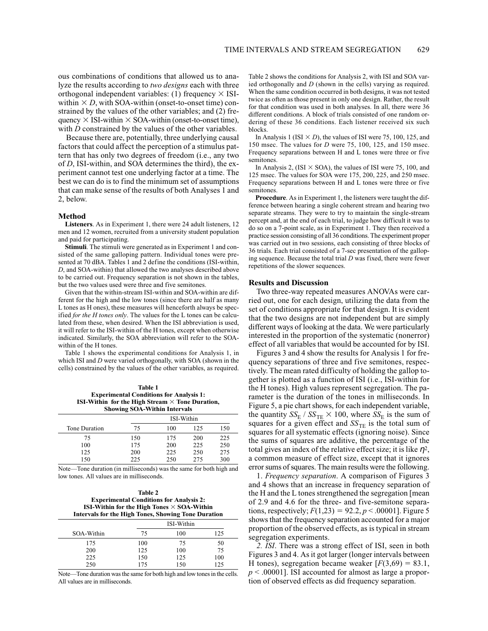ous combinations of conditions that allowed us to analyze the results according to *two designs* each with three orthogonal independent variables: (1) frequency  $\times$  ISIwithin  $\times$  *D*, with SOA-within (onset-to-onset time) constrained by the values of the other variables; and (2) frequency  $\times$  ISI-within  $\times$  SOA-within (onset-to-onset time), with *D* constrained by the values of the other variables.

Because there are, potentially, three underlying causal factors that could affect the perception of a stimulus pattern that has only two degrees of freedom (i.e., any two of *D*, ISI-within, and SOA determines the third), the experiment cannot test one underlying factor at a time. The best we can do is to find the minimum set of assumptions that can make sense of the results of both Analyses 1 and 2, below.

#### **Method**

**Listeners**. As in Experiment 1, there were 24 adult listeners, 12 men and 12 women, recruited from a university student population and paid for participating.

**Stimuli**. The stimuli were generated as in Experiment 1 and consisted of the same galloping pattern. Individual tones were presented at 70 dBA. Tables 1 and 2 define the conditions (ISI-within, *D*, and SOA-within) that allowed the two analyses described above to be carried out. Frequency separation is not shown in the tables, but the two values used were three and five semitones.

Given that the within-stream ISI-within and SOA-within are different for the high and the low tones (since there are half as many L tones as H ones), these measures will henceforth always be specified *for the H tones only*. The values for the L tones can be calculated from these, when desired. When the ISI abbreviation is used, it will refer to the ISI-within of the H tones, except when otherwise indicated. Similarly, the SOA abbreviation will refer to the SOAwithin of the H tones.

Table 1 shows the experimental conditions for Analysis 1, in which ISI and *D* were varied orthogonally, with SOA (shown in the cells) constrained by the values of the other variables, as required.

**Table 1 Experimental Conditions for Analysis 1: ISI-Within for the High Stream Tone Duration, Showing SOA-Within Intervals**

|               | ISI-Within |     |     |     |
|---------------|------------|-----|-----|-----|
| Tone Duration | 75         | 100 | 125 | 150 |
| 75            | 150        | 175 | 200 | 225 |
| 100           | 175        | 200 | 225 | 250 |
| 125           | 200        | 225 | 250 | 275 |
| 150           | 225        | 250 | 275 | 300 |

Note—Tone duration (in milliseconds) was the same for both high and low tones. All values are in milliseconds.

| <b>Table 2</b>                                                      |
|---------------------------------------------------------------------|
| <b>Experimental Conditions for Analysis 2:</b>                      |
| <b>ISI-Within for the High Tones <math>\times</math> SOA-Within</b> |
| Intervals for the High Tones, Showing Tone Duration                 |

|            |     | ISI-Within |     |
|------------|-----|------------|-----|
| SOA-Within | 75  | 100        | 125 |
| 175        | 100 | 75         | 50  |
| 200        | 125 | 100        | 75  |
| 225        | 150 | 125        | 100 |
| 250        | 175 | 150        | 125 |

Note—Tone duration was the same for both high and low tones in the cells. All values are in milliseconds.

Table 2 shows the conditions for Analysis 2, with ISI and SOA varied orthogonally and *D* (shown in the cells) varying as required. When the same condition occurred in both designs, it was not tested twice as often as those present in only one design. Rather, the result for that condition was used in both analyses. In all, there were 36 different conditions. A block of trials consisted of one random ordering of these 36 conditions. Each listener received six such blocks.

In Analysis 1 (ISI  $\times$  *D*), the values of ISI were 75, 100, 125, and 150 msec. The values for *D* were 75, 100, 125, and 150 msec. Frequency separations between H and L tones were three or five semitones.

In Analysis 2, (ISI  $\times$  SOA), the values of ISI were 75, 100, and 125 msec. The values for SOA were 175, 200, 225, and 250 msec. Frequency separations between H and L tones were three or five semitones.

**Procedure**. As in Experiment 1, the listeners were taught the difference between hearing a single coherent stream and hearing two separate streams. They were to try to maintain the single-stream percept and, at the end of each trial, to judge how difficult it was to do so on a 7-point scale, as in Experiment 1. They then received a practice session consisting of all 36 conditions. The experiment proper was carried out in two sessions, each consisting of three blocks of 36 trials. Each trial consisted of a 7-sec presentation of the galloping sequence. Because the total trial *D* was fixed, there were fewer repetitions of the slower sequences.

#### **Results and Discussion**

Two three-way repeated measures ANOVAs were carried out, one for each design, utilizing the data from the set of conditions appropriate for that design. It is evident that the two designs are not independent but are simply different ways of looking at the data. We were particularly interested in the proportion of the systematic (nonerror) effect of all variables that would be accounted for by ISI.

Figures 3 and 4 show the results for Analysis 1 for frequency separations of three and five semitones, respectively. The mean rated difficulty of holding the gallop together is plotted as a function of ISI (i.e., ISI-within for the H tones). High values represent segregation. The parameter is the duration of the tones in milliseconds. In Figure 5, a pie chart shows, for each independent variable, the quantity  $SS_E / SS_{TE} \times 100$ , where  $SS_E$  is the sum of squares for a given effect and  $SS_{TE}$  is the total sum of squares for all systematic effects (ignoring noise). Since the sums of squares are additive, the percentage of the total gives an index of the relative effect size; it is like  $\eta^2$ , a common measure of effect size, except that it ignores error sums of squares. The main results were the following.

1. *Frequency separation*. A comparison of Figures 3 and 4 shows that an increase in frequency separation of the H and the L tones strengthened the segregation [mean of 2.9 and 4.6 for the three- and five-semitone separations, respectively;  $F(1,23) = 92.2, p < .00001$ . Figure 5 shows that the frequency separation accounted for a major proportion of the observed effects, as is typical in stream segregation experiments.

*2. ISI*. There was a strong effect of ISI, seen in both Figures 3 and 4. As it got larger (longer intervals between H tones), segregation became weaker  $[F(3,69) = 83.1]$ , *p* < .00001]. ISI accounted for almost as large a proportion of observed effects as did frequency separation.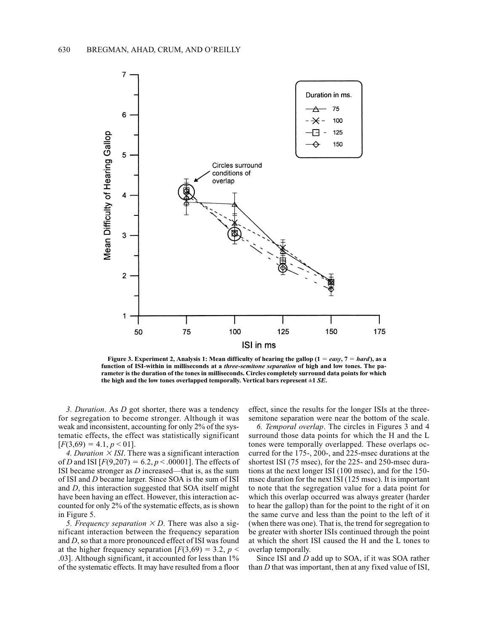

**Figure 3. Experiment 2, Analysis 1: Mean difficulty of hearing the gallop (1** *easy***, 7** *hard***), as a function of ISI-within in milliseconds at a** *three-semitone separation* **of high and low tones. The parameter is the duration of the tones in milliseconds. Circles completely surround data points for which the high and the low tones overlapped temporally. Vertical bars represent ±1** *SE***.**

*3. Duration*. As *D* got shorter, there was a tendency for segregation to become stronger. Although it was weak and inconsistent, accounting for only 2% of the systematic effects, the effect was statistically significant  $[F(3,69) = 4.1, p < 01].$ 

4. Duration  $\times$  ISI. There was a significant interaction of *D* and ISI  $[F(9,207) = 6.2, p < .00001]$ . The effects of ISI became stronger as *D* increased—that is, as the sum of ISI and *D* became larger. Since SOA is the sum of ISI and *D*, this interaction suggested that SOA itself might have been having an effect. However, this interaction accounted for only 2% of the systematic effects, as is shown in Figure 5.

*5. Frequency separation*  $\times$  *D*. There was also a significant interaction between the frequency separation and *D*, so that a more pronounced effect of ISI was found at the higher frequency separation  $[F(3,69) = 3.2, p \le$ .03]. Although significant, it accounted for less than 1% of the systematic effects. It may have resulted from a floor effect, since the results for the longer ISIs at the threesemitone separation were near the bottom of the scale.

*6. Temporal overlap*. The circles in Figures 3 and 4 surround those data points for which the H and the L tones were temporally overlapped. These overlaps occurred for the 175-, 200-, and 225-msec durations at the shortest ISI (75 msec), for the 225- and 250-msec durations at the next longer ISI (100 msec), and for the 150 msec duration for the next ISI (125 msec). It is important to note that the segregation value for a data point for which this overlap occurred was always greater (harder to hear the gallop) than for the point to the right of it on the same curve and less than the point to the left of it (when there was one). That is, the trend for segregation to be greater with shorter ISIs continued through the point at which the short ISI caused the H and the L tones to overlap temporally.

Since ISI and *D* add up to SOA, if it was SOA rather than *D* that was important, then at any fixed value of ISI,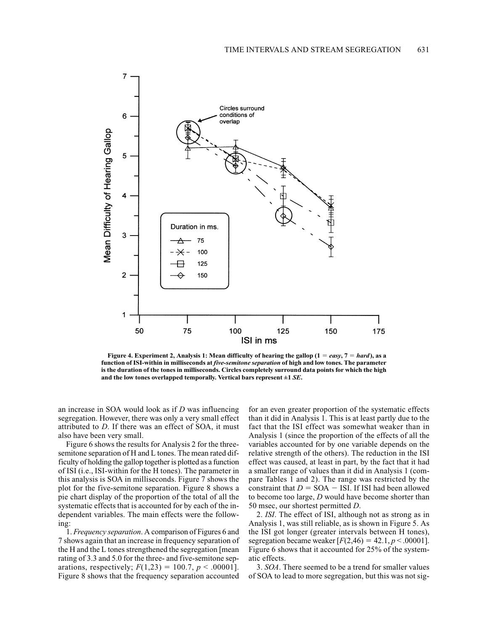

**Figure 4. Experiment 2, Analysis 1: Mean difficulty of hearing the gallop (1** *easy***, 7** *hard***), as a function of ISI-within in milliseconds at** *five-semitone separation* **of high and low tones. The parameter is the duration of the tones in milliseconds. Circles completely surround data points for which the high and the low tones overlapped temporally. Vertical bars represent ±1** *SE***.**

an increase in SOA would look as if *D* was influencing segregation. However, there was only a very small effect attributed to *D*. If there was an effect of SOA, it must also have been very small.

Figure 6 shows the results for Analysis 2 for the threesemitone separation of H and L tones. The mean rated difficulty of holding the gallop together is plotted as a function of ISI (i.e., ISI-within for the H tones). The parameter in this analysis is SOA in milliseconds. Figure 7 shows the plot for the five-semitone separation. Figure 8 shows a pie chart display of the proportion of the total of all the systematic effects that is accounted for by each of the independent variables. The main effects were the following:

1. *Frequency separation*. A comparison of Figures 6 and 7 shows again that an increase in frequency separation of the H and the L tones strengthened the segregation [mean rating of 3.3 and 5.0 for the three- and five-semitone separations, respectively;  $F(1,23) = 100.7$ ,  $p < .00001$ ]. Figure 8 shows that the frequency separation accounted

for an even greater proportion of the systematic effects than it did in Analysis 1. This is at least partly due to the fact that the ISI effect was somewhat weaker than in Analysis 1 (since the proportion of the effects of all the variables accounted for by one variable depends on the relative strength of the others). The reduction in the ISI effect was caused, at least in part, by the fact that it had a smaller range of values than it did in Analysis 1 (compare Tables 1 and 2). The range was restricted by the constraint that  $D = SOA - ISI$ . If ISI had been allowed to become too large, *D* would have become shorter than 50 msec, our shortest permitted *D*.

2. *ISI*. The effect of ISI, although not as strong as in Analysis 1, was still reliable, as is shown in Figure 5. As the ISI got longer (greater intervals between H tones), segregation became weaker  $[F(2,46) = 42.1, p < .00001]$ . Figure 6 shows that it accounted for 25% of the systematic effects.

3. *SOA*. There seemed to be a trend for smaller values of SOA to lead to more segregation, but this was not sig-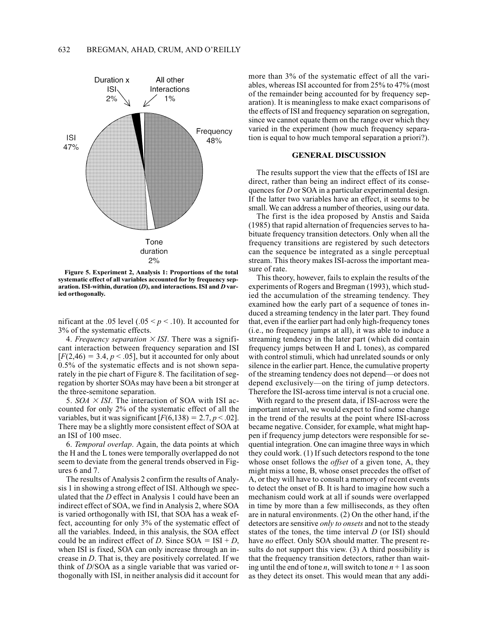

**Figure 5. Experiment 2, Analysis 1: Proportions of the total systematic effect of all variables accounted for by frequency separation. ISI-within, duration (***D***), and interactions. ISI and** *D* **varied orthogonally.**

nificant at the .05 level  $(.05 \le p \le .10)$ . It accounted for 3% of the systematic effects.

4. *Frequency separation*  $\times$  *ISI*. There was a significant interaction between frequency separation and ISI  $[F(2,46) = 3.4, p < .05]$ , but it accounted for only about 0.5% of the systematic effects and is not shown separately in the pie chart of Figure 8. The facilitation of segregation by shorter SOAs may have been a bit stronger at the three-semitone separation.

5. *SOA*  $\times$  *ISI*. The interaction of SOA with ISI accounted for only 2% of the systematic effect of all the variables, but it was significant  $[F(6,138) = 2.7, p < .02]$ . There may be a slightly more consistent effect of SOA at an ISI of 100 msec.

6. *Temporal overlap*. Again, the data points at which the H and the L tones were temporally overlapped do not seem to deviate from the general trends observed in Figures 6 and 7.

The results of Analysis 2 confirm the results of Analysis 1 in showing a strong effect of ISI. Although we speculated that the *D* effect in Analysis 1 could have been an indirect effect of SOA, we find in Analysis 2, where SOA is varied orthogonally with ISI, that SOA has a weak effect, accounting for only 3% of the systematic effect of all the variables. Indeed, in this analysis, the SOA effect could be an indirect effect of *D*. Since  $SOA = ISI + D$ , when ISI is fixed, SOA can only increase through an increase in *D*. That is, they are positively correlated. If we think of *D*/SOA as a single variable that was varied orthogonally with ISI, in neither analysis did it account for

more than 3% of the systematic effect of all the variables, whereas ISI accounted for from 25% to 47% (most of the remainder being accounted for by frequency separation). It is meaningless to make exact comparisons of the effects of ISI and frequency separation on segregation, since we cannot equate them on the range over which they varied in the experiment (how much frequency separation is equal to how much temporal separation a priori?).

# **GENERAL DISCUSSION**

The results support the view that the effects of ISI are direct, rather than being an indirect effect of its consequences for *D* or SOA in a particular experimental design. If the latter two variables have an effect, it seems to be small. We can address a number of theories, using our data.

The first is the idea proposed by Anstis and Saida (1985) that rapid alternation of frequencies serves to habituate frequency transition detectors. Only when all the frequency transitions are registered by such detectors can the sequence be integrated as a single perceptual stream. This theory makes ISI-across the important measure of rate.

This theory, however, fails to explain the results of the experiments of Rogers and Bregman (1993), which studied the accumulation of the streaming tendency. They examined how the early part of a sequence of tones induced a streaming tendency in the later part. They found that, even if the earlier part had only high-frequency tones (i.e., no frequency jumps at all), it was able to induce a streaming tendency in the later part (which did contain frequency jumps between H and L tones), as compared with control stimuli, which had unrelated sounds or only silence in the earlier part. Hence, the cumulative property of the streaming tendency does not depend—or does not depend exclusively—on the tiring of jump detectors. Therefore the ISI-across time interval is not a crucial one.

With regard to the present data, if ISI-across were the important interval, we would expect to find some change in the trend of the results at the point where ISI-across became negative. Consider, for example, what might happen if frequency jump detectors were responsible for sequential integration. One can imagine three ways in which they could work. (1) If such detectors respond to the tone whose onset follows the *offset* of a given tone, A, they might miss a tone, B, whose onset precedes the offset of A, or they will have to consult a memory of recent events to detect the onset of B. It is hard to imagine how such a mechanism could work at all if sounds were overlapped in time by more than a few milliseconds, as they often are in natural environments. (2) On the other hand, if the detectors are sensitive *only to onsets* and not to the steady states of the tones, the time interval *D* (or ISI) should have *no* effect. Only SOA should matter. The present results do not support this view. (3) A third possibility is that the frequency transition detectors, rather than waiting until the end of tone *n*, will switch to tone  $n + 1$  as soon as they detect its onset. This would mean that any addi-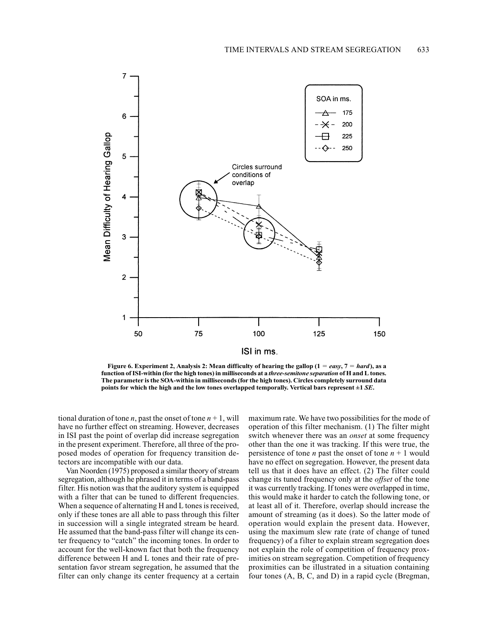

**Figure 6. Experiment 2, Analysis 2: Mean difficulty of hearing the gallop**  $(1 = easy, 7 = hard)$ **, as a function of ISI-within (for the high tones) in milliseconds at a** *three-semitone separation* **of H and L tones. The parameter is the SOA-within in milliseconds (for the high tones). Circles completely surround data points for which the high and the low tones overlapped temporally. Vertical bars represent ±1** *SE***.**

tional duration of tone *n*, past the onset of tone  $n + 1$ , will have no further effect on streaming. However, decreases in ISI past the point of overlap did increase segregation in the present experiment. Therefore, all three of the proposed modes of operation for frequency transition detectors are incompatible with our data.

Van Noorden (1975) proposed a similar theory of stream segregation, although he phrased it in terms of a band-pass filter. His notion was that the auditory system is equipped with a filter that can be tuned to different frequencies. When a sequence of alternating H and L tones is received, only if these tones are all able to pass through this filter in succession will a single integrated stream be heard. He assumed that the band-pass filter will change its center frequency to "catch" the incoming tones. In order to account for the well-known fact that both the frequency difference between H and L tones and their rate of presentation favor stream segregation, he assumed that the filter can only change its center frequency at a certain

maximum rate. We have two possibilities for the mode of operation of this filter mechanism. (1) The filter might switch whenever there was an *onset* at some frequency other than the one it was tracking. If this were true, the persistence of tone *n* past the onset of tone *n* + 1 would have no effect on segregation. However, the present data tell us that it does have an effect. (2) The filter could change its tuned frequency only at the *offset* of the tone it was currently tracking. If tones were overlapped in time, this would make it harder to catch the following tone, or at least all of it. Therefore, overlap should increase the amount of streaming (as it does). So the latter mode of operation would explain the present data. However, using the maximum slew rate (rate of change of tuned frequency) of a filter to explain stream segregation does not explain the role of competition of frequency proximities on stream segregation. Competition of frequency proximities can be illustrated in a situation containing four tones (A, B, C, and D) in a rapid cycle (Bregman,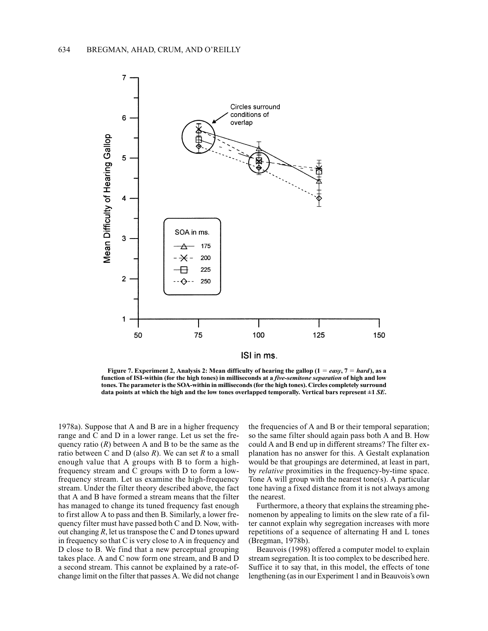

**Figure 7. Experiment 2, Analysis 2: Mean difficulty of hearing the gallop**  $(1 = easy, 7 = hard)$ **, as a function of ISI-within (for the high tones) in milliseconds at a** *five-semitone separation* **of high and low tones. The parameter is the SOA-within in milliseconds (for the high tones). Circles completely surround data points at which the high and the low tones overlapped temporally. Vertical bars represent ±1** *SE***.**

1978a). Suppose that A and B are in a higher frequency range and C and D in a lower range. Let us set the frequency ratio  $(R)$  between A and B to be the same as the ratio between C and D (also *R*). We can set *R* to a small enough value that A groups with B to form a highfrequency stream and C groups with D to form a lowfrequency stream. Let us examine the high-frequency stream. Under the filter theory described above, the fact that A and B have formed a stream means that the filter has managed to change its tuned frequency fast enough to first allow A to pass and then B. Similarly, a lower frequency filter must have passed both C and D. Now, without changing *R*, let us transpose the C and D tones upward in frequency so that C is very close to A in frequency and D close to B. We find that a new perceptual grouping takes place. A and C now form one stream, and B and D a second stream. This cannot be explained by a rate-ofchange limit on the filter that passes A. We did not change

the frequencies of A and B or their temporal separation; so the same filter should again pass both A and B. How could A and B end up in different streams? The filter explanation has no answer for this. A Gestalt explanation would be that groupings are determined, at least in part, by *relative* proximities in the frequency-by-time space. Tone A will group with the nearest tone(s). A particular tone having a fixed distance from it is not always among the nearest.

Furthermore, a theory that explains the streaming phenomenon by appealing to limits on the slew rate of a filter cannot explain why segregation increases with more repetitions of a sequence of alternating H and L tones (Bregman, 1978b).

Beauvois (1998) offered a computer model to explain stream segregation. It is too complex to be described here. Suffice it to say that, in this model, the effects of tone lengthening (as in our Experiment 1 and in Beauvois's own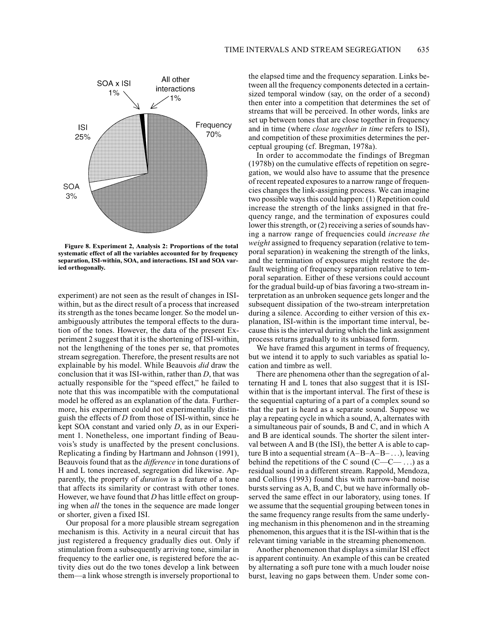

**Figure 8. Experiment 2, Analysis 2: Proportions of the total systematic effect of all the variables accounted for by frequency separation, ISI-within, SOA, and interactions. ISI and SOA varied orthogonally.**

experiment) are not seen as the result of changes in ISIwithin, but as the direct result of a process that increased its strength as the tones became longer. So the model unambiguously attributes the temporal effects to the duration of the tones. However, the data of the present Experiment 2 suggest that it is the shortening of ISI-within, not the lengthening of the tones per se, that promotes stream segregation. Therefore, the present results are not explainable by his model. While Beauvois *did* draw the conclusion that it was ISI-within, rather than *D*, that was actually responsible for the "speed effect," he failed to note that this was incompatible with the computational model he offered as an explanation of the data. Furthermore, his experiment could not experimentally distinguish the effects of *D* from those of ISI-within, since he kept SOA constant and varied only *D*, as in our Experiment 1. Nonetheless, one important finding of Beauvois's study is unaffected by the present conclusions. Replicating a finding by Hartmann and Johnson (1991), Beauvois found that as the *difference* in tone durations of H and L tones increased, segregation did likewise. Apparently, the property of *duration* is a feature of a tone that affects its similarity or contrast with other tones. However, we have found that *D* has little effect on grouping when *all* the tones in the sequence are made longer or shorter, given a fixed ISI.

Our proposal for a more plausible stream segregation mechanism is this. Activity in a neural circuit that has just registered a frequency gradually dies out. Only if stimulation from a subsequently arriving tone, similar in frequency to the earlier one, is registered before the activity dies out do the two tones develop a link between them—a link whose strength is inversely proportional to

the elapsed time and the frequency separation. Links between all the frequency components detected in a certainsized temporal window (say, on the order of a second) then enter into a competition that determines the set of streams that will be perceived. In other words, links are set up between tones that are close together in frequency and in time (where *close together in time* refers to ISI), and competition of these proximities determines the perceptual grouping (cf. Bregman, 1978a).

In order to accommodate the findings of Bregman (1978b) on the cumulative effects of repetition on segregation, we would also have to assume that the presence of recent repeated exposures to a narrow range of frequencies changes the link-assigning process. We can imagine two possible ways this could happen: (1) Repetition could increase the strength of the links assigned in that frequency range, and the termination of exposures could lower this strength, or (2) receiving a series of sounds having a narrow range of frequencies could *increase the weight* assigned to frequency separation (relative to temporal separation) in weakening the strength of the links, and the termination of exposures might restore the default weighting of frequency separation relative to temporal separation. Either of these versions could account for the gradual build-up of bias favoring a two-stream interpretation as an unbroken sequence gets longer and the subsequent dissipation of the two-stream interpretation during a silence. According to either version of this explanation, ISI-within is the important time interval, because this is the interval during which the link assignment process returns gradually to its unbiased form.

We have framed this argument in terms of frequency, but we intend it to apply to such variables as spatial location and timbre as well.

There are phenomena other than the segregation of alternating H and L tones that also suggest that it is ISIwithin that is the important interval. The first of these is the sequential capturing of a part of a complex sound so that the part is heard as a separate sound. Suppose we play a repeating cycle in which a sound, A, alternates with a simultaneous pair of sounds, B and C, and in which A and B are identical sounds. The shorter the silent interval between A and B (the ISI), the better A is able to capture B into a sequential stream  $(A-B-A-B-...)$ , leaving behind the repetitions of the C sound  $(C-C-...)$  as a residual sound in a different stream. Rappold, Mendoza, and Collins (1993) found this with narrow-band noise bursts serving as A, B, and C, but we have informally observed the same effect in our laboratory, using tones. If we assume that the sequential grouping between tones in the same frequency range results from the same underlying mechanism in this phenomenon and in the streaming phenomenon, this argues that it is the ISI-within that is the relevant timing variable in the streaming phenomenon.

Another phenomenon that displays a similar ISI effect is apparent continuity. An example of this can be created by alternating a soft pure tone with a much louder noise burst, leaving no gaps between them. Under some con-